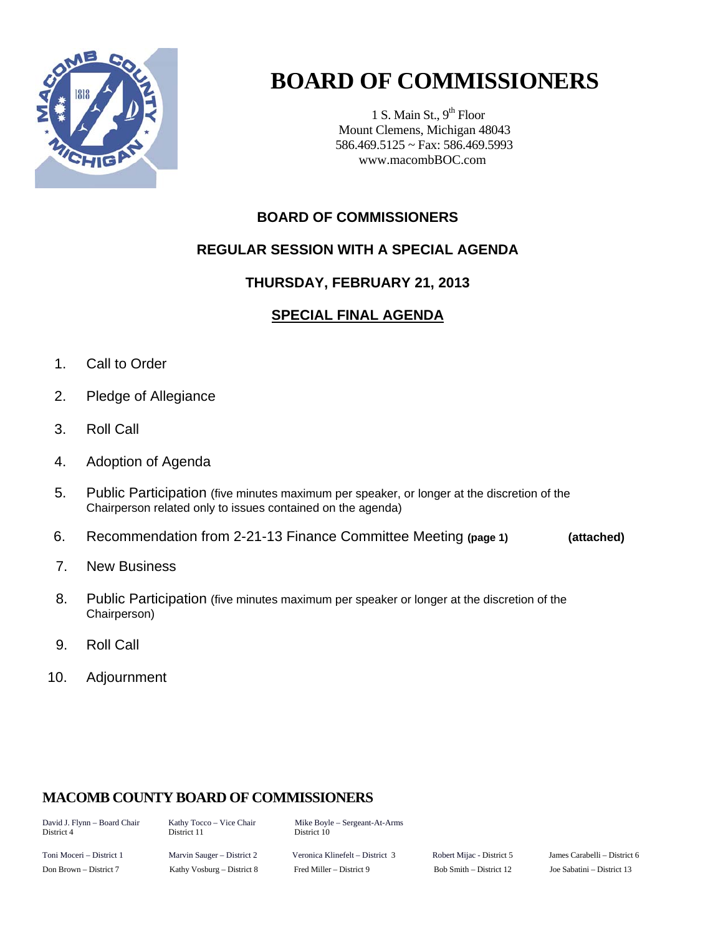

# **BOARD OF COMMISSIONERS**

1 S. Main St.,  $9<sup>th</sup>$  Floor Mount Clemens, Michigan 48043 586.469.5125 ~ Fax: 586.469.5993 www.macombBOC.com

### **BOARD OF COMMISSIONERS**

#### **REGULAR SESSION WITH A SPECIAL AGENDA**

### **THURSDAY, FEBRUARY 21, 2013**

## **SPECIAL FINAL AGENDA**

- 1. Call to Order
- 2. Pledge of Allegiance
- 3. Roll Call
- 4. Adoption of Agenda
- 5. Public Participation (five minutes maximum per speaker, or longer at the discretion of the Chairperson related only to issues contained on the agenda)
- 6. Recommendation from 2-21-13 Finance Committee Meeting **(page 1) (attached)**
- 7. New Business
- 8. Public Participation (five minutes maximum per speaker or longer at the discretion of the Chairperson)
- 9. Roll Call
- 10. Adjournment

## **MACOMB COUNTY BOARD OF COMMISSIONERS**

District 11

David J. Flynn – Board Chair Kathy Tocco – Vice Chair Mike Boyle – Sergeant-At-Arms<br>District 4 District 11 District 10

Toni Moceri – District 1 Marvin Sauger – District 2 Veronica Klinefelt – District 3 Robert Mijac - District 5 James Carabelli – District 6 Don Brown – District 7 Kathy Vosburg – District 8 Fred Miller – District 9 Bob Smith – District 12 Joe Sabatini – District 13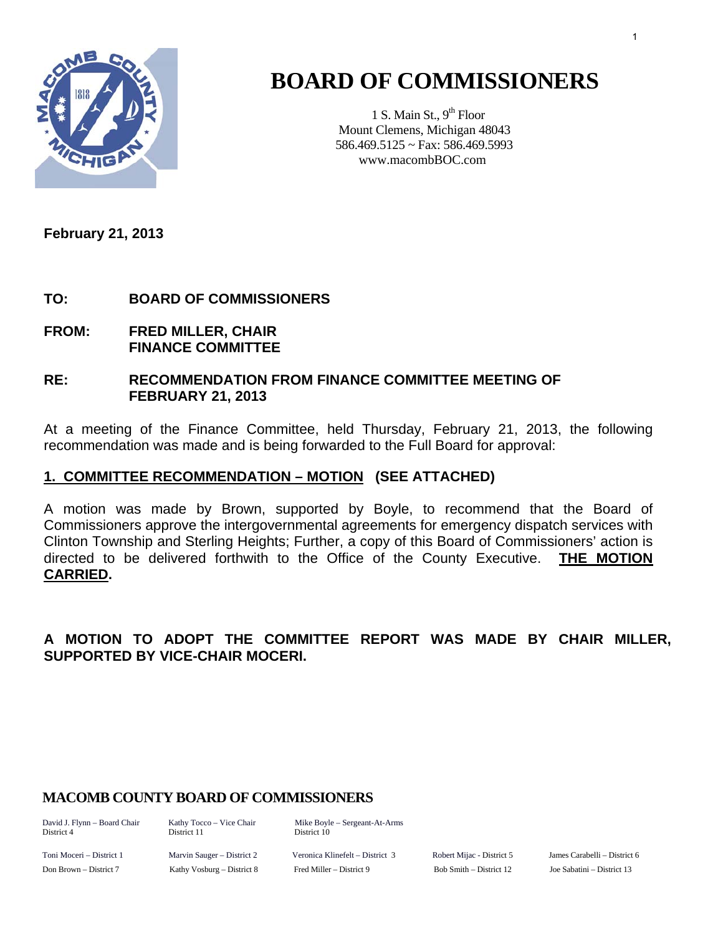

# **BOARD OF COMMISSIONERS**

1 S. Main St.,  $9<sup>th</sup>$  Floor Mount Clemens, Michigan 48043 586.469.5125 ~ Fax: 586.469.5993 www.macombBOC.com

**February 21, 2013** 

#### **TO: BOARD OF COMMISSIONERS**

**FROM: FRED MILLER, CHAIR FINANCE COMMITTEE** 

#### **RE: RECOMMENDATION FROM FINANCE COMMITTEE MEETING OF FEBRUARY 21, 2013**

At a meeting of the Finance Committee, held Thursday, February 21, 2013, the following recommendation was made and is being forwarded to the Full Board for approval:

#### **1. COMMITTEE RECOMMENDATION – MOTION (SEE ATTACHED)**

A motion was made by Brown, supported by Boyle, to recommend that the Board of Commissioners approve the intergovernmental agreements for emergency dispatch services with Clinton Township and Sterling Heights; Further, a copy of this Board of Commissioners' action is directed to be delivered forthwith to the Office of the County Executive. **THE MOTION CARRIED.** 

#### **A MOTION TO ADOPT THE COMMITTEE REPORT WAS MADE BY CHAIR MILLER, SUPPORTED BY VICE-CHAIR MOCERI.**

#### **MACOMB COUNTY BOARD OF COMMISSIONERS**

District 4 District 11 District 10

David J. Flynn – Board Chair Kathy Tocco – Vice Chair Mike Boyle – Sergeant-At-Arms

Toni Moceri – District 1 Marvin Sauger – District 2 Veronica Klinefelt – District 3 Robert Mijac - District 5 James Carabelli – District 6 Don Brown – District 7 Kathy Vosburg – District 8 Fred Miller – District 9 Bob Smith – District 12 Joe Sabatini – District 13